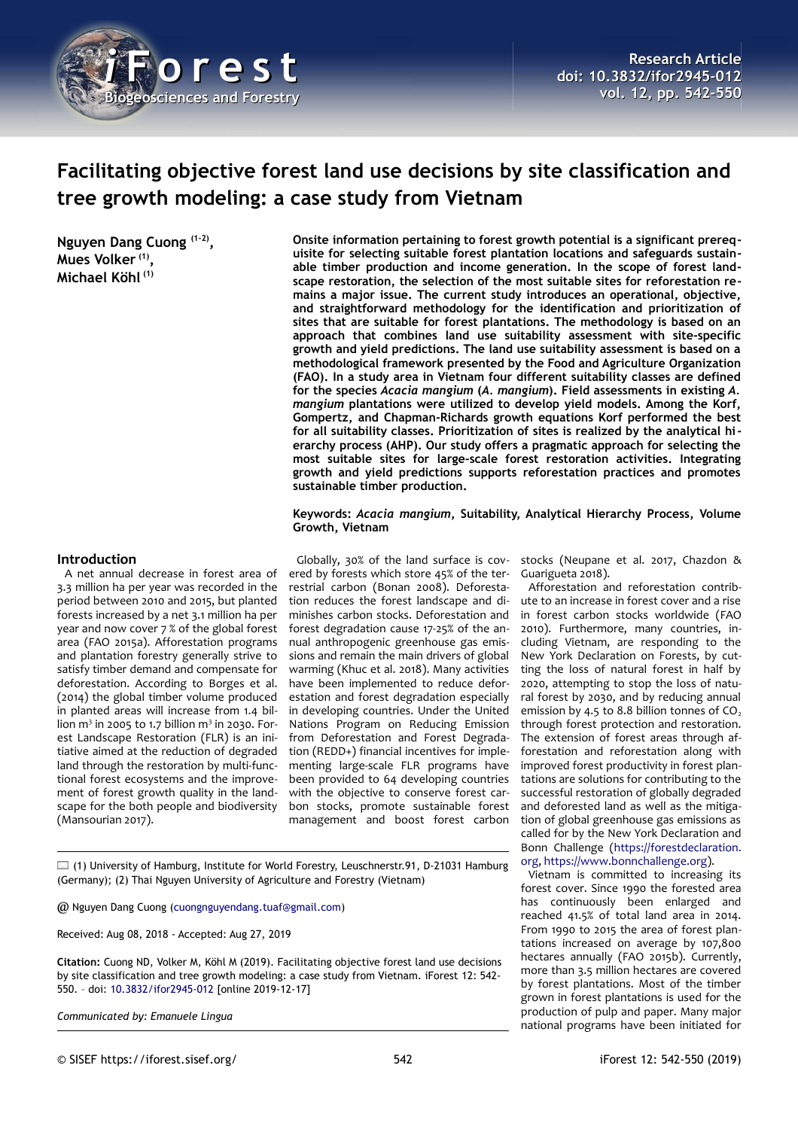

# **Facilitating objective forest land use decisions by site classification and tree growth modeling: a case study from Vietnam**

**Nguyen Dang Cuong (1-2) , Mues Volker (1) , Michael Köhl (1)**

**Onsite information pertaining to forest growth potential is a significant prerequisite for selecting suitable forest plantation locations and safeguards sustainable timber production and income generation. In the scope of forest landscape restoration, the selection of the most suitable sites for reforestation remains a major issue. The current study introduces an operational, objective, and straightforward methodology for the identification and prioritization of sites that are suitable for forest plantations. The methodology is based on an approach that combines land use suitability assessment with site-specific growth and yield predictions. The land use suitability assessment is based on a methodological framework presented by the Food and Agriculture Organization (FAO). In a study area in Vietnam four different suitability classes are defined for the species** *Acacia mangium* **(***A. mangium***). Field assessments in existing** *A. mangium* **plantations were utilized to develop yield models. Among the Korf, Gompertz, and Chapman-Richards growth equations Korf performed the best for all suitability classes. Prioritization of sites is realized by the analytical hierarchy process (AHP). Our study offers a pragmatic approach for selecting the most suitable sites for large-scale forest restoration activities. Integrating growth and yield predictions supports reforestation practices and promotes sustainable timber production.**

**Keywords:** *Acacia mangium***, Suitability, Analytical Hierarchy Process, Volume Growth, Vietnam**

#### **Introduction**

A net annual decrease in forest area of 3.3 million ha per year was recorded in the period between 2010 and 2015, but planted forests increased by a net 3.1 million ha per year and now cover 7 % of the global forest area (FAO 2015a). Afforestation programs and plantation forestry generally strive to satisfy timber demand and compensate for deforestation. According to Borges et al. (2014) the global timber volume produced in planted areas will increase from 1.4 billion  $m^3$  in 2005 to 1.7 billion  $m^3$  in 2030. Forest Landscape Restoration (FLR) is an initiative aimed at the reduction of degraded land through the restoration by multi-functional forest ecosystems and the improvement of forest growth quality in the landscape for the both people and biodiversity (Mansourian 2017).

Globally, 30% of the land surface is covered by forests which store 45% of the terrestrial carbon (Bonan 2008). Deforestation reduces the forest landscape and diminishes carbon stocks. Deforestation and forest degradation cause 17-25% of the annual anthropogenic greenhouse gas emissions and remain the main drivers of global warming (Khuc et al. 2018). Many activities have been implemented to reduce deforestation and forest degradation especially in developing countries. Under the United Nations Program on Reducing Emission from Deforestation and Forest Degradation (REDD+) financial incentives for implementing large-scale FLR programs have been provided to 64 developing countries with the objective to conserve forest carbon stocks, promote sustainable forest management and boost forest carbon stocks (Neupane et al. 2017, Chazdon & Guarigueta 2018).

Afforestation and reforestation contribute to an increase in forest cover and a rise in forest carbon stocks worldwide (FAO 2010). Furthermore, many countries, including Vietnam, are responding to the New York Declaration on Forests, by cutting the loss of natural forest in half by 2020, attempting to stop the loss of natural forest by 2030, and by reducing annual emission by 4.5 to 8.8 billion tonnes of  $CO<sub>2</sub>$ through forest protection and restoration. The extension of forest areas through afforestation and reforestation along with improved forest productivity in forest plantations are solutions for contributing to the successful restoration of globally degraded and deforested land as well as the mitigation of global greenhouse gas emissions as called for by the New York Declaration and Bonn Challenge [\(https://forestdeclaration.](https://forestdeclaration.org/) [org,](https://forestdeclaration.org/) [https://www.bonnchallenge.org\)](https://www.bonnchallenge.org/).

Vietnam is committed to increasing its forest cover. Since 1990 the forested area has continuously been enlarged and reached 41.5% of total land area in 2014. From 1990 to 2015 the area of forest plantations increased on average by 107,800 hectares annually (FAO 2015b). Currently, more than 3.5 million hectares are covered by forest plantations. Most of the timber grown in forest plantations is used for the production of pulp and paper. Many major national programs have been initiated for

 $\Box$  (1) University of Hamburg, Institute for World Forestry, Leuschnerstr.91, D-21031 Hamburg (Germany); (2) Thai Nguyen University of Agriculture and Forestry (Vietnam)

@ Nguyen Dang Cuong [\(cuongnguyendang.tuaf@gmail.com\)](mailto:cuongnguyendang.tuaf@gmail.com)

Received: Aug 08, 2018 - Accepted: Aug 27, 2019

**Citation:** Cuong ND, Volker M, Köhl M (2019). Facilitating objective forest land use decisions by site classification and tree growth modeling: a case study from Vietnam. iForest 12: 542- 550. – doi: [10.3832/ifor2945-012](http://www.sisef.it/iforest/contents/?id=ifor2945-012) [online 2019-12-17]

*Communicated by: Emanuele Lingua*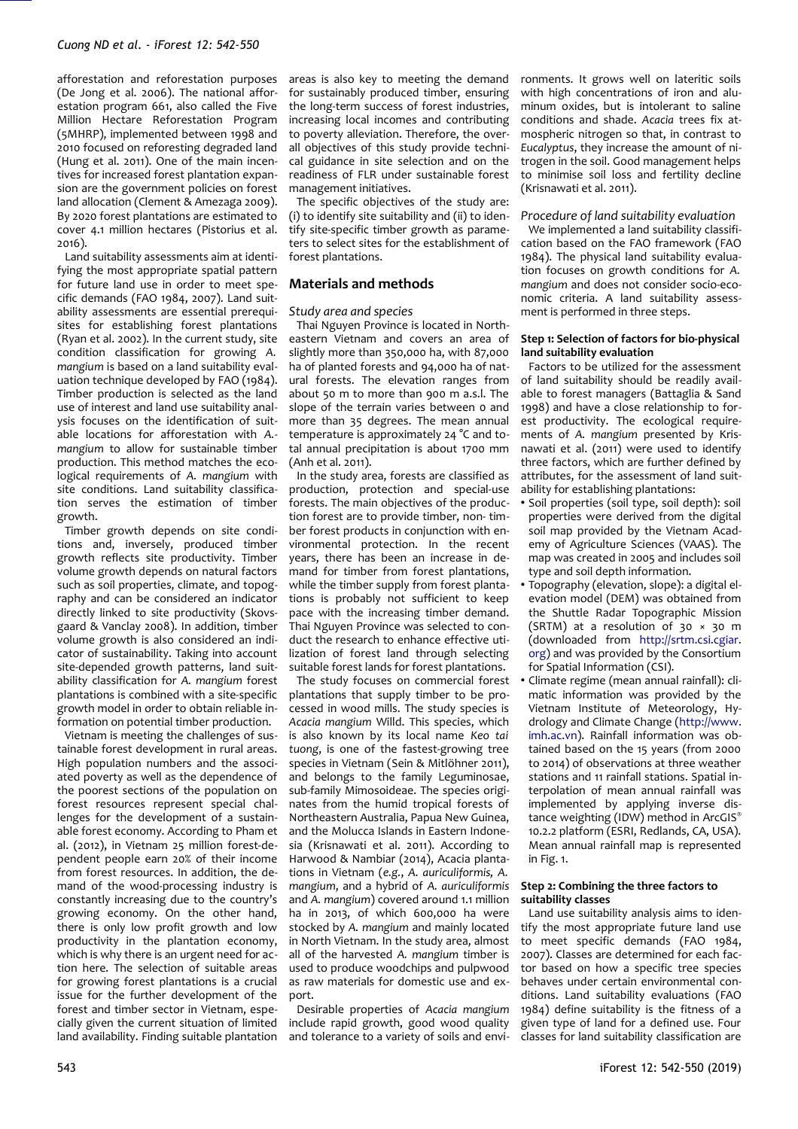afforestation and reforestation purposes (De Jong et al. 2006). The national afforestation program 661, also called the Five Million Hectare Reforestation Program (5MHRP), implemented between 1998 and 2010 focused on reforesting degraded land (Hung et al. 2011). One of the main incentives for increased forest plantation expansion are the government policies on forest land allocation (Clement & Amezaga 2009). By 2020 forest plantations are estimated to cover 4.1 million hectares (Pistorius et al. 2016).

Land suitability assessments aim at identifying the most appropriate spatial pattern for future land use in order to meet specific demands (FAO 1984, 2007). Land suitability assessments are essential prerequisites for establishing forest plantations (Ryan et al. 2002). In the current study, site condition classification for growing *A. mangium* is based on a land suitability evaluation technique developed by FAO (1984). Timber production is selected as the land use of interest and land use suitability analysis focuses on the identification of suitable locations for afforestation with *A. mangium* to allow for sustainable timber production. This method matches the ecological requirements of *A. mangium* with site conditions. Land suitability classification serves the estimation of timber growth.

Timber growth depends on site conditions and, inversely, produced timber growth reflects site productivity. Timber volume growth depends on natural factors such as soil properties, climate, and topography and can be considered an indicator directly linked to site productivity (Skovsgaard & Vanclay 2008). In addition, timber volume growth is also considered an indicator of sustainability. Taking into account site-depended growth patterns, land suitability classification for *A. mangium* forest plantations is combined with a site-specific growth model in order to obtain reliable information on potential timber production.

Vietnam is meeting the challenges of sustainable forest development in rural areas. High population numbers and the associated poverty as well as the dependence of the poorest sections of the population on forest resources represent special challenges for the development of a sustainable forest economy. According to Pham et al. (2012), in Vietnam 25 million forest-dependent people earn 20% of their income from forest resources. In addition, the demand of the wood-processing industry is constantly increasing due to the country's growing economy. On the other hand, there is only low profit growth and low productivity in the plantation economy, which is why there is an urgent need for action here. The selection of suitable areas for growing forest plantations is a crucial issue for the further development of the forest and timber sector in Vietnam, especially given the current situation of limited land availability. Finding suitable plantation

areas is also key to meeting the demand for sustainably produced timber, ensuring the long-term success of forest industries, increasing local incomes and contributing to poverty alleviation. Therefore, the overall objectives of this study provide technical guidance in site selection and on the readiness of FLR under sustainable forest management initiatives.

The specific objectives of the study are: (i) to identify site suitability and (ii) to identify site-specific timber growth as parameters to select sites for the establishment of forest plantations.

## **Materials and methods**

### *Study area and species*

Thai Nguyen Province is located in Northeastern Vietnam and covers an area of slightly more than 350,000 ha, with 87,000 ha of planted forests and 94,000 ha of natural forests. The elevation ranges from about 50 m to more than 900 m a.s.l. The slope of the terrain varies between 0 and more than 35 degrees. The mean annual temperature is approximately 24 °C and total annual precipitation is about 1700 mm (Anh et al. 2011).

In the study area, forests are classified as production, protection and special-use forests. The main objectives of the production forest are to provide timber, non- timber forest products in conjunction with environmental protection. In the recent years, there has been an increase in demand for timber from forest plantations, while the timber supply from forest plantations is probably not sufficient to keep pace with the increasing timber demand. Thai Nguyen Province was selected to conduct the research to enhance effective utilization of forest land through selecting suitable forest lands for forest plantations.

The study focuses on commercial forest plantations that supply timber to be processed in wood mills. The study species is *Acacia mangium* Willd. This species, which is also known by its local name *Keo tai tuong*, is one of the fastest-growing tree species in Vietnam (Sein & Mitlöhner 2011), and belongs to the family Leguminosae, sub-family Mimosoideae. The species originates from the humid tropical forests of Northeastern Australia, Papua New Guinea, and the Molucca Islands in Eastern Indonesia (Krisnawati et al. 2011). According to Harwood & Nambiar (2014), Acacia plantations in Vietnam (*e.g.*, *A. auriculiformis, A. mangium*, and a hybrid of *A. auriculiformis* and *A. mangium*) covered around 1.1 million ha in 2013, of which 600,000 ha were stocked by *A. mangium* and mainly located in North Vietnam. In the study area, almost all of the harvested *A. mangium* timber is used to produce woodchips and pulpwood as raw materials for domestic use and export.

Desirable properties of *Acacia mangium* include rapid growth, good wood quality and tolerance to a variety of soils and envi-

ronments. It grows well on lateritic soils with high concentrations of iron and aluminum oxides, but is intolerant to saline conditions and shade. *Acacia* trees fix atmospheric nitrogen so that, in contrast to *Eucalyptus*, they increase the amount of nitrogen in the soil. Good management helps to minimise soil loss and fertility decline (Krisnawati et al. 2011).

### *Procedure of land suitability evaluation*

We implemented a land suitability classification based on the FAO framework (FAO 1984). The physical land suitability evaluation focuses on growth conditions for *A. mangium* and does not consider socio-economic criteria. A land suitability assessment is performed in three steps.

#### **Step 1: Selection of factors for bio-physical land suitability evaluation**

Factors to be utilized for the assessment of land suitability should be readily available to forest managers (Battaglia & Sand 1998) and have a close relationship to forest productivity. The ecological requirements of *A. mangium* presented by Krisnawati et al. (2011) were used to identify three factors, which are further defined by attributes, for the assessment of land suitability for establishing plantations:

- Soil properties (soil type, soil depth): soil properties were derived from the digital soil map provided by the Vietnam Academy of Agriculture Sciences (VAAS). The map was created in 2005 and includes soil type and soil depth information.
- Topography (elevation, slope): a digital elevation model (DEM) was obtained from the Shuttle Radar Topographic Mission (SRTM) at a resolution of  $30 \times 30$  m (downloaded from [http://srtm.csi.cgiar.](http://srtm.csi.cgiar.org/) [org\)](http://srtm.csi.cgiar.org/) and was provided by the Consortium for Spatial Information (CSI).
- Climate regime (mean annual rainfall): climatic information was provided by the Vietnam Institute of Meteorology, Hydrology and Climate Change [\(http://www.](http://www.imh.ac.vn/) [imh.ac.vn\)](http://www.imh.ac.vn/). Rainfall information was obtained based on the 15 years (from 2000 to 2014) of observations at three weather stations and 11 rainfall stations. Spatial interpolation of mean annual rainfall was implemented by applying inverse distance weighting (IDW) method in ArcGIS® 10.2.2 platform (ESRI, Redlands, CA, USA). Mean annual rainfall map is represented in [Fig. 1.](#page-2-0)

## **Step 2: Combining the three factors to suitability classes**

Land use suitability analysis aims to identify the most appropriate future land use to meet specific demands (FAO 1984, 2007). Classes are determined for each factor based on how a specific tree species behaves under certain environmental conditions. Land suitability evaluations (FAO 1984) define suitability is the fitness of a given type of land for a defined use. Four classes for land suitability classification are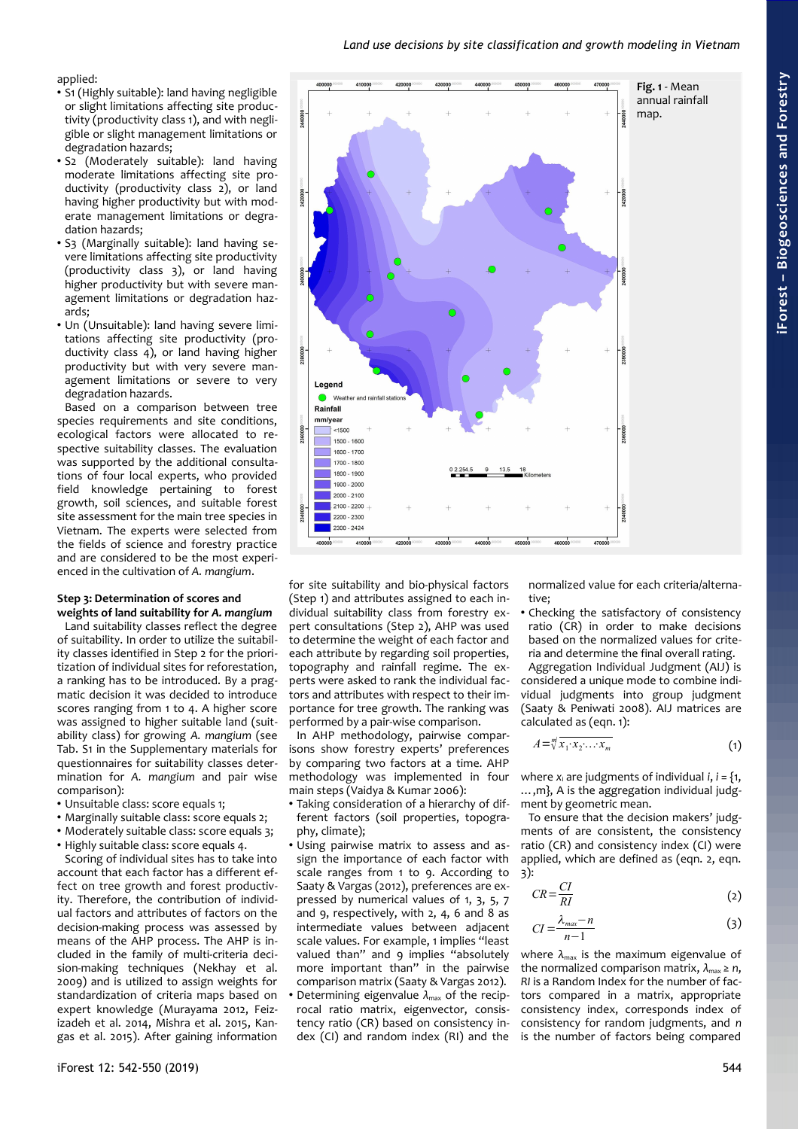## <span id="page-2-0"></span>*Land use decisions by site classification and growth modeling in Vietnam*

applied:

- S1 (Highly suitable): land having negligible or slight limitations affecting site productivity (productivity class 1), and with negligible or slight management limitations or degradation hazards;
- S2 (Moderately suitable): land having moderate limitations affecting site productivity (productivity class 2), or land having higher productivity but with moderate management limitations or degradation hazards;
- S3 (Marginally suitable): land having severe limitations affecting site productivity (productivity class 3), or land having higher productivity but with severe management limitations or degradation hazards;
- Un (Unsuitable): land having severe limitations affecting site productivity (productivity class 4), or land having higher productivity but with very severe management limitations or severe to very degradation hazards.

Based on a comparison between tree species requirements and site conditions, ecological factors were allocated to respective suitability classes. The evaluation was supported by the additional consultations of four local experts, who provided field knowledge pertaining to forest growth, soil sciences, and suitable forest site assessment for the main tree species in Vietnam. The experts were selected from the fields of science and forestry practice and are considered to be the most experienced in the cultivation of *A. mangium*.

#### **Step 3: Determination of scores and weights of land suitability for** *A. mangium*

Land suitability classes reflect the degree of suitability. In order to utilize the suitability classes identified in Step 2 for the prioritization of individual sites for reforestation, a ranking has to be introduced. By a pragmatic decision it was decided to introduce scores ranging from 1 to 4. A higher score was assigned to higher suitable land (suitability class) for growing *A. mangium* (see Tab. S1 in the Supplementary materials for questionnaires for suitability classes determination for *A. mangium* and pair wise comparison):

- Unsuitable class: score equals 1;
- Marginally suitable class: score equals 2;
- Moderately suitable class: score equals 3;
- Highly suitable class: score equals 4.

Scoring of individual sites has to take into account that each factor has a different effect on tree growth and forest productivity. Therefore, the contribution of individual factors and attributes of factors on the decision-making process was assessed by means of the AHP process. The AHP is included in the family of multi-criteria decision-making techniques (Nekhay et al. 2009) and is utilized to assign weights for standardization of criteria maps based on expert knowledge (Murayama 2012, Feizizadeh et al. 2014, Mishra et al. 2015, Kangas et al. 2015). After gaining information



for site suitability and bio-physical factors (Step 1) and attributes assigned to each individual suitability class from forestry expert consultations (Step 2), AHP was used to determine the weight of each factor and each attribute by regarding soil properties, topography and rainfall regime. The experts were asked to rank the individual factors and attributes with respect to their importance for tree growth. The ranking was performed by a pair-wise comparison.

In AHP methodology, pairwise comparisons show forestry experts' preferences by comparing two factors at a time. AHP methodology was implemented in four main steps (Vaidya & Kumar 2006):

- Taking consideration of a hierarchy of different factors (soil properties, topography, climate);
- Using pairwise matrix to assess and assign the importance of each factor with scale ranges from 1 to 9. According to Saaty & Vargas (2012), preferences are expressed by numerical values of 1, 3, 5, 7 and 9, respectively, with 2, 4, 6 and 8 as intermediate values between adjacent scale values. For example, 1 implies "least valued than" and 9 implies "absolutely more important than" in the pairwise comparison matrix (Saaty & Vargas 2012).
- Determining eigenvalue  $\lambda_{\text{max}}$  of the reciprocal ratio matrix, eigenvector, consistency ratio (CR) based on consistency index (CI) and random index (RI) and the

normalized value for each criteria/alternative;

• Checking the satisfactory of consistency ratio (CR) in order to make decisions based on the normalized values for criteria and determine the final overall rating.

Aggregation Individual Judgment (AIJ) is considered a unique mode to combine individual judgments into group judgment (Saaty & Peniwati 2008). AIJ matrices are calculated as (eqn. 1):

$$
A = \sqrt[m]{x_1 \cdot x_2 \cdot \ldots \cdot x_m} \tag{1}
$$

where  $x_i$  are judgments of individual  $i, i = \{1, \}$ …,m}, A is the aggregation individual judgment by geometric mean.

To ensure that the decision makers' iudgments of are consistent, the consistency ratio (CR) and consistency index (CI) were applied, which are defined as (eqn. 2, eqn. 3):

$$
CR = \frac{CI}{RI} \tag{2}
$$

$$
CI = \frac{\lambda_{max} - n}{n - 1} \tag{3}
$$

where  $\lambda_{\text{max}}$  is the maximum eigenvalue of the normalized comparison matrix,  $\lambda_{\text{max}} \ge n$ , *RI* is a Random Index for the number of factors compared in a matrix, appropriate consistency index, corresponds index of consistency for random judgments, and *n* is the number of factors being compared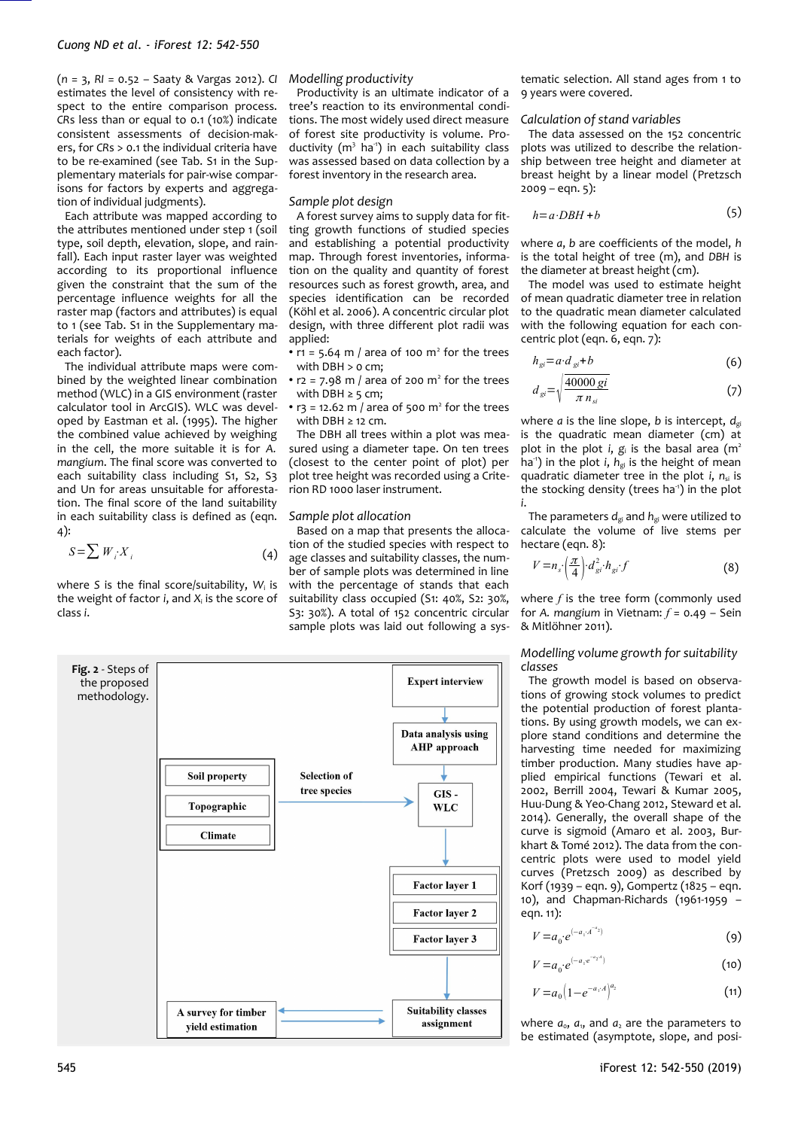(*n* = 3, *RI* = 0.52 – Saaty & Vargas 2012). *CI* estimates the level of consistency with respect to the entire comparison process. *CR*s less than or equal to 0.1 (10%) indicate consistent assessments of decision-makers, for *CR*s > 0.1 the individual criteria have to be re-examined (see Tab. S1 in the Supplementary materials for pair-wise comparisons for factors by experts and aggregation of individual judgments).

Each attribute was mapped according to the attributes mentioned under step 1 (soil type, soil depth, elevation, slope, and rainfall). Each input raster layer was weighted according to its proportional influence given the constraint that the sum of the percentage influence weights for all the raster map (factors and attributes) is equal to 1 (see Tab. S1 in the Supplementary materials for weights of each attribute and each factor).

The individual attribute maps were combined by the weighted linear combination method (WLC) in a GIS environment (raster calculator tool in ArcGIS). WLC was developed by Eastman et al. (1995). The higher the combined value achieved by weighing in the cell, the more suitable it is for *A. mangium*. The final score was converted to each suitability class including S1, S2, S3 and Un for areas unsuitable for afforestation. The final score of the land suitability in each suitability class is defined as (eqn. 4):

$$
S = \sum W_i X_i \tag{4}
$$

where *S* is the final score/suitability, *W*<sup>i</sup> is the weight of factor *i*, and *X*<sup>i</sup> is the score of class *i*.

## *Modelling productivity*

Productivity is an ultimate indicator of a tree's reaction to its environmental conditions. The most widely used direct measure of forest site productivity is volume. Productivity (m<sup>3</sup> ha<sup>1</sup>) in each suitability class was assessed based on data collection by a forest inventory in the research area.

#### *Sample plot design*

A forest survey aims to supply data for fitting growth functions of studied species and establishing a potential productivity map. Through forest inventories, information on the quality and quantity of forest resources such as forest growth, area, and species identification can be recorded (Köhl et al. 2006). A concentric circular plot design, with three different plot radii was applied:

• r1 = 5.64 m / area of 100  $m<sup>2</sup>$  for the trees with DBH  $> 0$  cm;

•  $r2 = 7.98$  m / area of 200 m<sup>2</sup> for the trees with DBH  $\geq$  5 cm;

•  $r_3$  = 12.62 m / area of 500 m<sup>2</sup> for the trees with DBH ≥ 12 cm.

The DBH all trees within a plot was measured using a diameter tape. On ten trees (closest to the center point of plot) per plot tree height was recorded using a Criterion RD 1000 laser instrument.

#### *Sample plot allocation*

Based on a map that presents the allocation of the studied species with respect to age classes and suitability classes, the number of sample plots was determined in line with the percentage of stands that each suitability class occupied (S1: 40%, S2: 30%, S3: 30%). A total of 152 concentric circular sample plots was laid out following a sys-

<span id="page-3-0"></span>

tematic selection. All stand ages from 1 to 9 years were covered.

#### *Calculation of stand variables*

The data assessed on the 152 concentric plots was utilized to describe the relationship between tree height and diameter at breast height by a linear model (Pretzsch  $2009 - eqn. 5$ :

$$
h = a \cdot DBH + b \tag{5}
$$

where *a*, *b* are coefficients of the model, *h* is the total height of tree (m), and *DBH* is the diameter at breast height (cm).

The model was used to estimate height of mean quadratic diameter tree in relation to the quadratic mean diameter calculated with the following equation for each concentric plot (eqn. 6, eqn. 7):

$$
h_{gi} = a \cdot d_{gi} + b \tag{6}
$$

$$
d_{gi} = \sqrt{\frac{40000\,\text{gi}}{\pi\,n_{si}}} \tag{7}
$$

where  $a$  is the line slope,  $b$  is intercept,  $d_{\text{ei}}$ is the quadratic mean diameter (cm) at plot in the plot *i*,  $g_i$  is the basal area (m<sup>2</sup> ha<sup>1</sup>) in the plot *i*, *h*<sub>gi</sub> is the height of mean quadratic diameter tree in the plot *i*,  $n_{si}$  is the stocking density (trees ha<sup>-1</sup>) in the plot *i*.

The parameters  $d_{gi}$  and  $h_{gi}$  were utilized to calculate the volume of live stems per hectare (eqn. 8):

$$
V = n_s \left(\frac{\pi}{4}\right) \cdot d_{gi}^2 \cdot h_{gi} \cdot f \tag{8}
$$

where *f* is the tree form (commonly used for *A. mangium* in Vietnam: *f* = 0.49 – Sein & Mitlöhner 2011).

*Modelling volume growth for suitability classes*

The growth model is based on observations of growing stock volumes to predict the potential production of forest plantations. By using growth models, we can explore stand conditions and determine the harvesting time needed for maximizing timber production. Many studies have applied empirical functions (Tewari et al. 2002, Berrill 2004, Tewari & Kumar 2005, Huu-Dung & Yeo-Chang 2012, Steward et al. 2014). Generally, the overall shape of the curve is sigmoid (Amaro et al. 2003, Burkhart & Tomé 2012). The data from the concentric plots were used to model yield curves (Pretzsch 2009) as described by Korf (1939 – eqn. 9), Gompertz (1825 – eqn. 10), and Chapman-Richards (1961-1959 – eqn. 11):

$$
V = a_0 \cdot e^{(-a_1 \cdot A^{-a_2})} \tag{9}
$$

$$
V = a_0 \cdot e^{(-a_1 e^{-a_2 t})} \tag{10}
$$

$$
V = a_0 \left( 1 - e^{-a_1 \cdot A} \right)^{a_2} \tag{11}
$$

where  $a_0$ ,  $a_1$ , and  $a_2$  are the parameters to be estimated (asymptote, slope, and posi-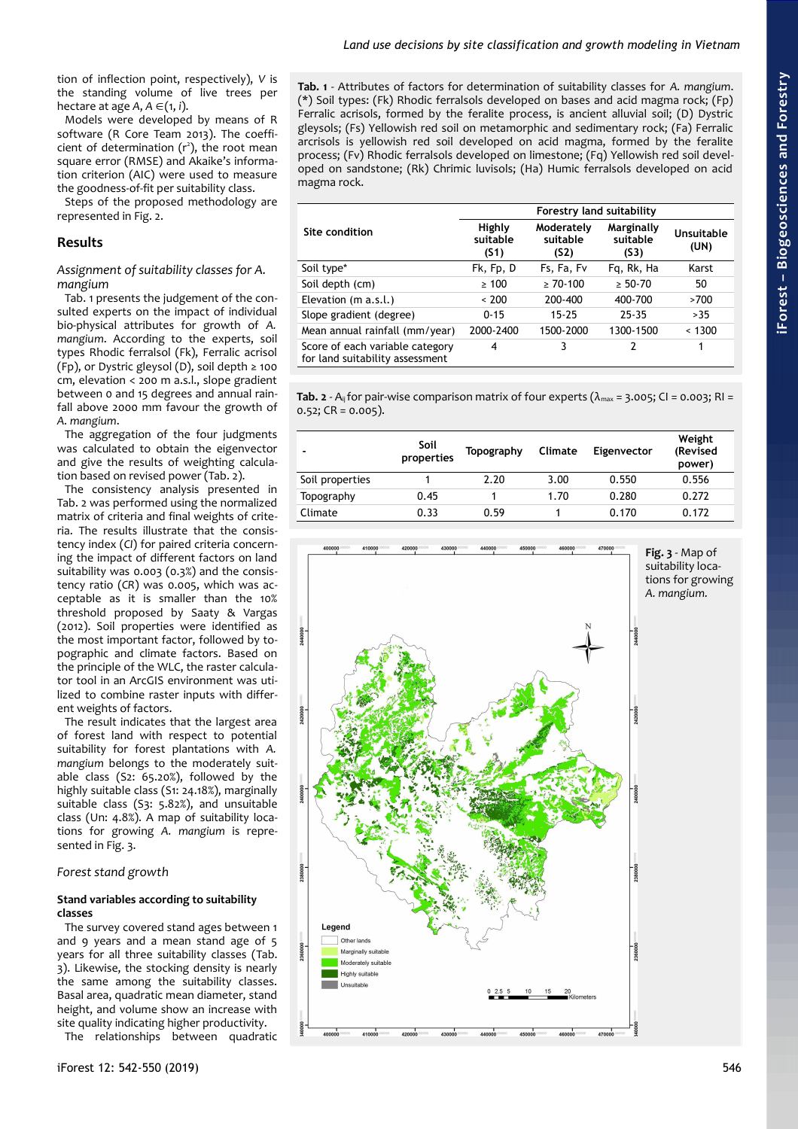tion of inflection point, respectively), *V* is the standing volume of live trees per hectare at age  $A, A \in (1, i)$ .

Models were developed by means of R software (R Core Team 2013). The coefficient of determination  $(r^2)$ , the root mean square error (RMSE) and Akaike's information criterion (AIC) were used to measure the goodness-of-fit per suitability class.

Steps of the proposed methodology are represented in [Fig. 2.](#page-3-0)

# **Results**

*Assignment of suitability classes for A. mangium*

[Tab. 1](#page-4-2) presents the judgement of the consulted experts on the impact of individual bio-physical attributes for growth of *A. mangium*. According to the experts, soil types Rhodic ferralsol (Fk), Ferralic acrisol (Fp), or Dystric gleysol (D), soil depth  $\ge$  100 cm, elevation < 200 m a.s.l., slope gradient between 0 and 15 degrees and annual rainfall above 2000 mm favour the growth of *A. mangium*.

The aggregation of the four judgments was calculated to obtain the eigenvector and give the results of weighting calculation based on revised power [\(Tab. 2\)](#page-4-1).

The consistency analysis presented in [Tab. 2](#page-4-1) was performed using the normalized matrix of criteria and final weights of criteria. The results illustrate that the consistency index (*CI*) for paired criteria concerning the impact of different factors on land suitability was 0.003 (0.3%) and the consistency ratio (*CR*) was 0.005, which was acceptable as it is smaller than the 10% threshold proposed by Saaty & Vargas (2012). Soil properties were identified as the most important factor, followed by topographic and climate factors. Based on the principle of the WLC, the raster calculator tool in an ArcGIS environment was utilized to combine raster inputs with different weights of factors.

The result indicates that the largest area of forest land with respect to potential suitability for forest plantations with *A. mangium* belongs to the moderately suitable class (S2: 65.20%), followed by the highly suitable class (S1: 24.18%), marginally suitable class (S3: 5.82%), and unsuitable class (Un: 4.8%). A map of suitability locations for growing *A. mangium* is represented in [Fig. 3.](#page-4-0)

## *Forest stand growth*

## **Stand variables according to suitability classes**

The survey covered stand ages between 1 and 9 years and a mean stand age of 5 years for all three suitability classes [\(Tab.](#page-5-0) [3\)](#page-5-0). Likewise, the stocking density is nearly the same among the suitability classes. Basal area, quadratic mean diameter, stand height, and volume show an increase with site quality indicating higher productivity.

The relationships between quadratic

<span id="page-4-2"></span>**Tab. 1** - Attributes of factors for determination of suitability classes for *A. mangium*. (\*) Soil types: (Fk) Rhodic ferralsols developed on bases and acid magma rock; (Fp) Ferralic acrisols, formed by the feralite process, is ancient alluvial soil; (D) Dystric gleysols; (Fs) Yellowish red soil on metamorphic and sedimentary rock; (Fa) Ferralic arcrisols is yellowish red soil developed on acid magma, formed by the feralite process; (Fv) Rhodic ferralsols developed on limestone; (Fq) Yellowish red soil developed on sandstone; (Rk) Chrimic luvisols; (Ha) Humic ferralsols developed on acid magma rock.

| Forestry land suitability  |                                |                                |                    |  |  |
|----------------------------|--------------------------------|--------------------------------|--------------------|--|--|
| Highly<br>suitable<br>(S1) | Moderately<br>suitable<br>(S2) | Marginally<br>suitable<br>(S3) | Unsuitable<br>(UN) |  |  |
| Fk, Fp, D                  | Fs, Fa, Fv                     | Fg, Rk, Ha                     | Karst              |  |  |
| $\geq 100$                 | $> 70-100$                     | $\geq 50 - 70$                 | 50                 |  |  |
| < 200                      | 200-400                        | 400-700                        | >700               |  |  |
| $0 - 15$                   | $15 - 25$                      | $25 - 35$                      | >35                |  |  |
| 2000-2400                  | 1500-2000                      | 1300-1500                      | < 1300             |  |  |
| 4                          | 3                              | 2                              | 1                  |  |  |
|                            |                                |                                |                    |  |  |

<span id="page-4-1"></span>**Tab. 2** - A<sub>ij</sub> for pair-wise comparison matrix of four experts  $(\lambda_{\text{max}} = 3.005; C1 = 0.003; R1 =$  $0.52$ ; CR = 0.005).

| -               | Soil<br>properties | Topography | Climate | Eigenvector | Weight<br>(Revised<br>power) |
|-----------------|--------------------|------------|---------|-------------|------------------------------|
| Soil properties |                    | 2.20       | 3.00    | 0.550       | 0.556                        |
| Topography      | 0.45               |            | 1.70    | 0.280       | 0.272                        |
| Climate         | 0.33               | 0.59       |         | 0.170       | 0.172                        |

<span id="page-4-0"></span>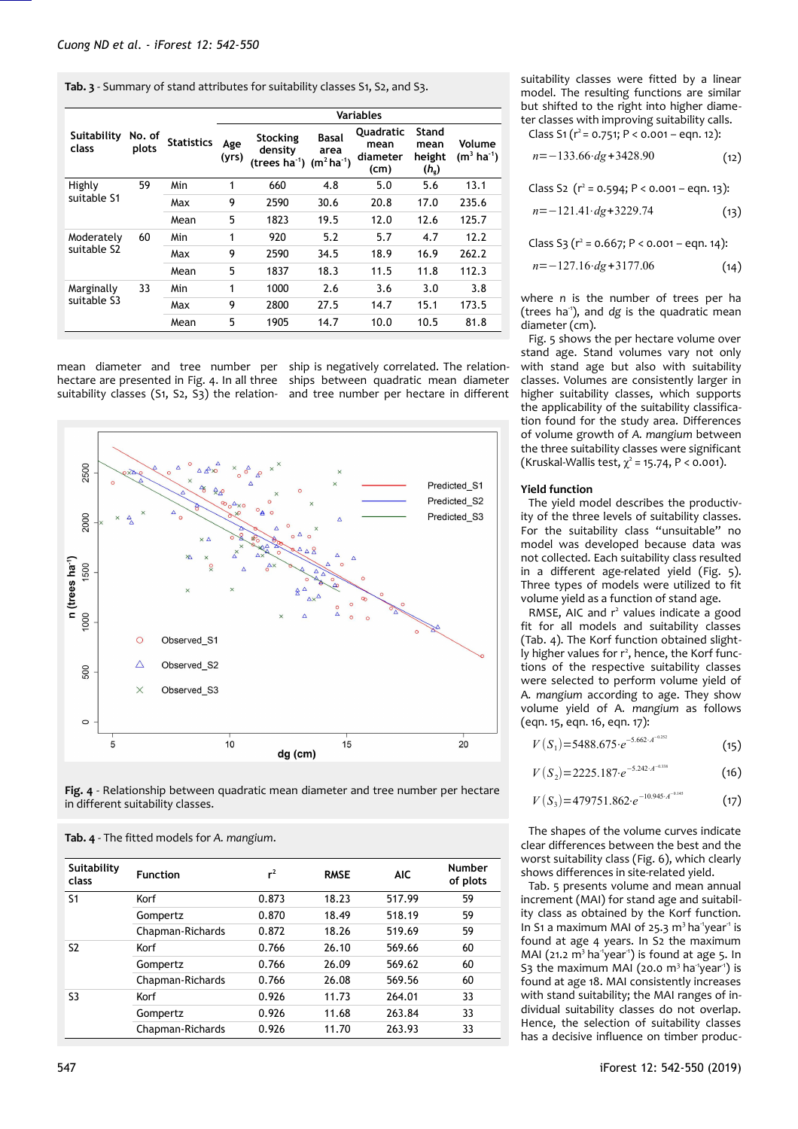<span id="page-5-0"></span>**Tab. 3** - Summary of stand attributes for suitability classes S1, S2, and S3.

|                                       |                 |                   | <b>Variables</b> |                                           |                                         |                                              |                                          |                                   |  |
|---------------------------------------|-----------------|-------------------|------------------|-------------------------------------------|-----------------------------------------|----------------------------------------------|------------------------------------------|-----------------------------------|--|
| Suitability<br>class                  | No. of<br>plots | <b>Statistics</b> | Age<br>(yrs)     | Stocking<br>density<br>(trees $ha^{-1}$ ) | <b>Basal</b><br>area<br>$(m^2 ha^{-1})$ | <b>Ouadratic</b><br>mean<br>diameter<br>(cm) | Stand<br>mean<br>height<br>$(h_{\rm g})$ | Volume<br>$(m^3 \text{ ha}^{-1})$ |  |
| Highly                                | 59              | Min               | 1                | 660                                       | 4.8                                     | 5.0                                          | 5.6                                      | 13.1                              |  |
| suitable S1                           |                 | Max               | 9                | 2590                                      | 30.6                                    | 20.8                                         | 17.0                                     | 235.6                             |  |
|                                       |                 | Mean              | 5                | 1823                                      | 19.5                                    | 12.0                                         | 12.6                                     | 125.7                             |  |
| Moderately<br>suitable S <sub>2</sub> | 60              | Min               | 1                | 920                                       | 5.2                                     | 5.7                                          | 4.7                                      | 12.2                              |  |
|                                       |                 | Max               | 9                | 2590                                      | 34.5                                    | 18.9                                         | 16.9                                     | 262.2                             |  |
|                                       |                 | Mean              | 5                | 1837                                      | 18.3                                    | 11.5                                         | 11.8                                     | 112.3                             |  |
| Marginally<br>suitable S3             | 33              | Min               | 1                | 1000                                      | 2.6                                     | 3.6                                          | 3.0                                      | 3.8                               |  |
|                                       |                 | Max               | 9                | 2800                                      | 27.5                                    | 14.7                                         | 15.1                                     | 173.5                             |  |
|                                       |                 | Mean              | 5                | 1905                                      | 14.7                                    | 10.0                                         | 10.5                                     | 81.8                              |  |

hectare are presented in [Fig. 4.](#page-5-2) In all three ships between quadratic mean diameter suitability classes (S1, S2, S3) the relation-and tree number per hectare in different

mean diameter and tree number per ship is negatively correlated. The relation-



<span id="page-5-2"></span>**Fig. 4** - Relationship between quadratic mean diameter and tree number per hectare in different suitability classes.

| Suitability<br>class | <b>Function</b>  | $r^2$ | <b>RMSE</b> | <b>AIC</b> | <b>Number</b><br>of plots |
|----------------------|------------------|-------|-------------|------------|---------------------------|
| S <sub>1</sub>       | Korf             | 0.873 | 18.23       | 517.99     | 59                        |
|                      | Gompertz         | 0.870 | 18.49       | 518.19     | 59                        |
|                      | Chapman-Richards | 0.872 | 18.26       | 519.69     | 59                        |
| S2                   | Korf             | 0.766 | 26.10       | 569.66     | 60                        |
|                      | Gompertz         | 0.766 | 26.09       | 569.62     | 60                        |
|                      | Chapman-Richards | 0.766 | 26.08       | 569.56     | 60                        |
| S3                   | Korf             | 0.926 | 11.73       | 264.01     | 33                        |
|                      | Gompertz         | 0.926 | 11.68       | 263.84     | 33                        |
|                      | Chapman-Richards | 0.926 | 11.70       | 263.93     | 33                        |

<span id="page-5-1"></span>**Tab. 4** - The fitted models for *A. mangium*.

suitability classes were fitted by a linear model. The resulting functions are similar but shifted to the right into higher diameter classes with improving suitability calls. Class S1 ( $r^2$  = 0.751; P < 0.001 – eqn. 12):

 $(12)$ *n*=−133.66⋅*dg*+3428.90

Class S2  $(r^2 = 0.594; P < 0.001 - eqn. 13)$ :

$$
n = -121.41 \cdot dg + 3229.74 \tag{13}
$$

Class S3 ( $r^2$  = 0.667; P < 0.001 – eqn. 14):

$$
n = -127.16 \cdot dg + 3177.06 \tag{14}
$$

where *n* is the number of trees per ha (trees ha<sup>-1</sup>), and *dg* is the quadratic mean diameter (cm).

[Fig. 5](#page-6-2) shows the per hectare volume over stand age. Stand volumes vary not only with stand age but also with suitability classes. Volumes are consistently larger in higher suitability classes, which supports the applicability of the suitability classification found for the study area. Differences of volume growth of *A. mangium* between the three suitability classes were significant (Kruskal-Wallis test,  $\chi^2$  = 15.74, P < 0.001).

### **Yield function**

The yield model describes the productivity of the three levels of suitability classes. For the suitability class "unsuitable" no model was developed because data was not collected. Each suitability class resulted in a different age-related yield [\(Fig. 5\)](#page-6-2). Three types of models were utilized to fit volume yield as a function of stand age.

RMSE, AIC and r<sup>2</sup> values indicate a good fit for all models and suitability classes [\(Tab. 4\)](#page-5-1). The Korf function obtained slightly higher values for r<sup>2</sup>, hence, the Korf functions of the respective suitability classes were selected to perform volume yield of A*. mangium* according to age. They show volume yield of A*. mangium* as follows (eqn. 15, eqn. 16, eqn. 17):

$$
V(S_1) = 5488.675 \cdot e^{-5.662 \cdot A^{-0.252}} \tag{15}
$$

 $(16)$  $V(S_2) = 2225.187 \cdot e^{-5.242 \cdot A^{-0.338}}$ 

$$
V(S_3) = 479751.862 \cdot e^{-10.945 \cdot A^{-0.145}} \tag{17}
$$

The shapes of the volume curves indicate clear differences between the best and the worst suitability class [\(Fig. 6\)](#page-6-1), which clearly shows differences in site-related yield.

[Tab. 5](#page-6-0) presents volume and mean annual increment (MAI) for stand age and suitability class as obtained by the Korf function. In S1 a maximum MAI of 25.3  $m<sup>3</sup>$  ha<sup>-1</sup>year<sup>-1</sup> is found at age 4 years. In S2 the maximum MAI (21.2  $m^3$  ha<sup>-1</sup>year<sup>-1</sup>) is found at age 5. In S3 the maximum MAI (20.0  $m<sup>3</sup>$  ha<sup>1</sup>year<sup>1</sup>) is found at age 18. MAI consistently increases with stand suitability; the MAI ranges of individual suitability classes do not overlap. Hence, the selection of suitability classes has a decisive influence on timber produc-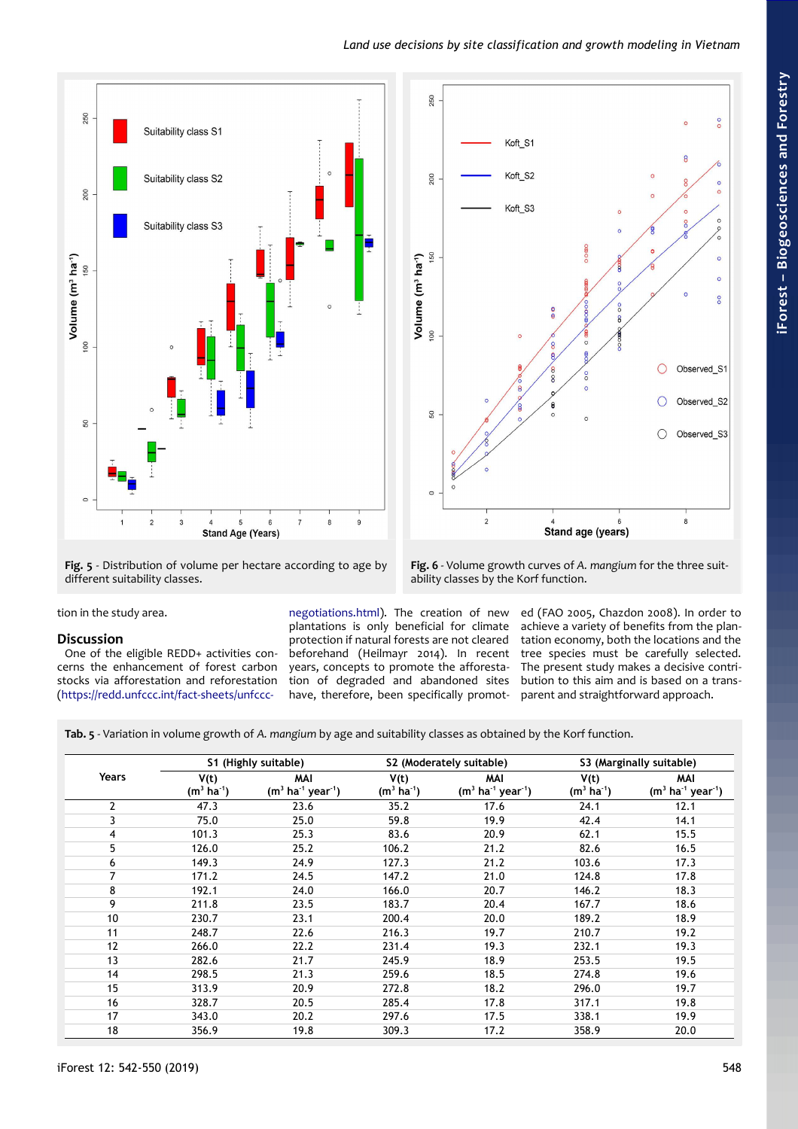



<span id="page-6-2"></span>**Fig. 5** - Distribution of volume per hectare according to age by different suitability classes.

<span id="page-6-1"></span>**Fig. 6** - Volume growth curves of *A. mangium* for the three suitability classes by the Korf function.

tion in the study area.

# **Discussion**

One of the eligible REDD+ activities concerns the enhancement of forest carbon stocks via afforestation and reforestation [\(https://redd.unfccc.int/fact-sheets/unfccc-](https://redd.unfccc.int/fact-sheets/unfccc-negotiations.html)

[negotiations.html\)](https://redd.unfccc.int/fact-sheets/unfccc-negotiations.html). The creation of new plantations is only beneficial for climate .<br>protection if natural forests are not cleared beforehand (Heilmayr 2014). In recent years, concepts to promote the afforestation of degraded and abandoned sites have, therefore, been specifically promot-

ed (FAO 2005, Chazdon 2008). In order to achieve a variety of benefits from the plantation economy, both the locations and the tree species must be carefully selected. The present study makes a decisive contribution to this aim and is based on a transparent and straightforward approach.

<span id="page-6-0"></span>**Tab. 5** - Variation in volume growth of *A. mangium* by age and suitability classes as obtained by the Korf function.

|                | S1 (Highly suitable)            |                                                  |                                 | S2 (Moderately suitable)                         | S3 (Marginally suitable)        |                                                  |
|----------------|---------------------------------|--------------------------------------------------|---------------------------------|--------------------------------------------------|---------------------------------|--------------------------------------------------|
| Years          | V(t)<br>$(m^3 \text{ ha}^{-1})$ | MAI<br>$(m^3 \text{ ha}^{-1} \text{ year}^{-1})$ | V(t)<br>$(m^3 \text{ ha}^{-1})$ | MAI<br>$(m^3 \text{ ha}^{-1} \text{ year}^{-1})$ | V(t)<br>$(m^3 \text{ ha}^{-1})$ | MAI<br>$(m^3 \text{ ha}^{-1} \text{ year}^{-1})$ |
| $\overline{2}$ | 47.3                            | 23.6                                             | 35.2                            | 17.6                                             | 24.1                            | 12.1                                             |
| 3              | 75.0                            | 25.0                                             | 59.8                            | 19.9                                             | 42.4                            | 14.1                                             |
| 4              | 101.3                           | 25.3                                             | 83.6                            | 20.9                                             | 62.1                            | 15.5                                             |
| 5              | 126.0                           | 25.2                                             | 106.2                           | 21.2                                             | 82.6                            | 16.5                                             |
| 6              | 149.3                           | 24.9                                             | 127.3                           | 21.2                                             | 103.6                           | 17.3                                             |
| 7              | 171.2                           | 24.5                                             | 147.2                           | 21.0                                             | 124.8                           | 17.8                                             |
| 8              | 192.1                           | 24.0                                             | 166.0                           | 20.7                                             | 146.2                           | 18.3                                             |
| 9              | 211.8                           | 23.5                                             | 183.7                           | 20.4                                             | 167.7                           | 18.6                                             |
| 10             | 230.7                           | 23.1                                             | 200.4                           | 20.0                                             | 189.2                           | 18.9                                             |
| 11             | 248.7                           | 22.6                                             | 216.3                           | 19.7                                             | 210.7                           | 19.2                                             |
| 12             | 266.0                           | 22.2                                             | 231.4                           | 19.3                                             | 232.1                           | 19.3                                             |
| 13             | 282.6                           | 21.7                                             | 245.9                           | 18.9                                             | 253.5                           | 19.5                                             |
| 14             | 298.5                           | 21.3                                             | 259.6                           | 18.5                                             | 274.8                           | 19.6                                             |
| 15             | 313.9                           | 20.9                                             | 272.8                           | 18.2                                             | 296.0                           | 19.7                                             |
| 16             | 328.7                           | 20.5                                             | 285.4                           | 17.8                                             | 317.1                           | 19.8                                             |
| 17             | 343.0                           | 20.2                                             | 297.6                           | 17.5                                             | 338.1                           | 19.9                                             |
| 18             | 356.9                           | 19.8                                             | 309.3                           | 17.2                                             | 358.9                           | 20.0                                             |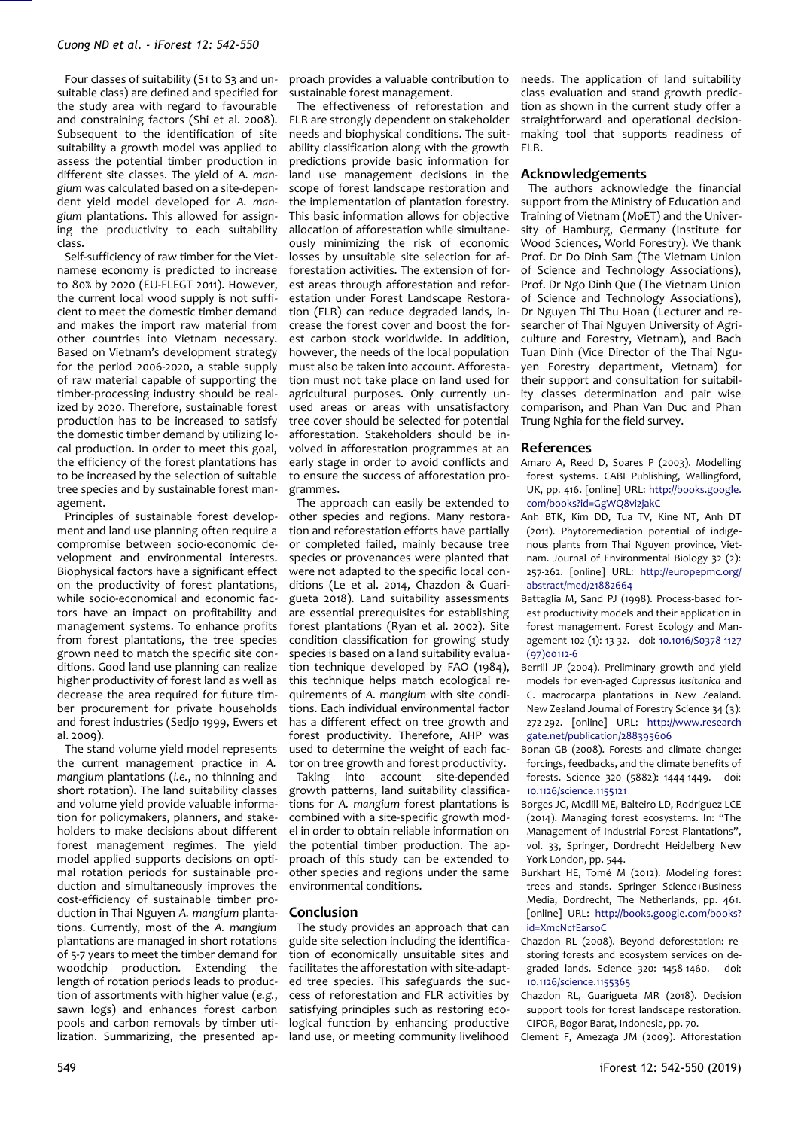Four classes of suitability (S1 to S3 and unsuitable class) are defined and specified for the study area with regard to favourable and constraining factors (Shi et al. 2008). Subsequent to the identification of site suitability a growth model was applied to assess the potential timber production in different site classes. The yield of *A. mangium* was calculated based on a site-dependent yield model developed for *A. mangium* plantations. This allowed for assigning the productivity to each suitability class.

Self-sufficiency of raw timber for the Vietnamese economy is predicted to increase to 80% by 2020 (EU-FLEGT 2011). However, the current local wood supply is not sufficient to meet the domestic timber demand and makes the import raw material from other countries into Vietnam necessary. Based on Vietnam's development strategy for the period 2006-2020, a stable supply of raw material capable of supporting the timber-processing industry should be realized by 2020. Therefore, sustainable forest production has to be increased to satisfy the domestic timber demand by utilizing local production. In order to meet this goal, the efficiency of the forest plantations has to be increased by the selection of suitable tree species and by sustainable forest management.

Principles of sustainable forest development and land use planning often require a compromise between socio-economic development and environmental interests. Biophysical factors have a significant effect on the productivity of forest plantations, while socio-economical and economic factors have an impact on profitability and management systems. To enhance profits from forest plantations, the tree species grown need to match the specific site conditions. Good land use planning can realize higher productivity of forest land as well as decrease the area required for future timber procurement for private households and forest industries (Sedjo 1999, Ewers et al. 2009).

The stand volume yield model represents the current management practice in *A. mangium* plantations (*i.e.*, no thinning and short rotation). The land suitability classes and volume yield provide valuable information for policymakers, planners, and stakeholders to make decisions about different forest management regimes. The yield model applied supports decisions on optimal rotation periods for sustainable production and simultaneously improves the cost-efficiency of sustainable timber production in Thai Nguyen *A. mangium* plantations. Currently, most of the *A. mangium* plantations are managed in short rotations of 5-7 years to meet the timber demand for woodchip production. Extending the length of rotation periods leads to production of assortments with higher value (*e.g.*, sawn logs) and enhances forest carbon pools and carbon removals by timber utilization. Summarizing, the presented approach provides a valuable contribution to sustainable forest management.

The effectiveness of reforestation and FLR are strongly dependent on stakeholder needs and biophysical conditions. The suitability classification along with the growth predictions provide basic information for land use management decisions in the scope of forest landscape restoration and the implementation of plantation forestry. This basic information allows for objective allocation of afforestation while simultaneously minimizing the risk of economic losses by unsuitable site selection for afforestation activities. The extension of forest areas through afforestation and reforestation under Forest Landscape Restoration (FLR) can reduce degraded lands, increase the forest cover and boost the forest carbon stock worldwide. In addition, however, the needs of the local population must also be taken into account. Afforestation must not take place on land used for agricultural purposes. Only currently unused areas or areas with unsatisfactory tree cover should be selected for potential afforestation. Stakeholders should be involved in afforestation programmes at an early stage in order to avoid conflicts and to ensure the success of afforestation programmes.

The approach can easily be extended to other species and regions. Many restoration and reforestation efforts have partially or completed failed, mainly because tree species or provenances were planted that were not adapted to the specific local conditions (Le et al. 2014, Chazdon & Guarigueta 2018). Land suitability assessments are essential prerequisites for establishing forest plantations (Ryan et al. 2002). Site condition classification for growing study species is based on a land suitability evaluation technique developed by FAO (1984), this technique helps match ecological requirements of *A. mangium* with site conditions. Each individual environmental factor has a different effect on tree growth and forest productivity. Therefore, AHP was used to determine the weight of each factor on tree growth and forest productivity.

Taking into account site-depended growth patterns, land suitability classifications for *A. mangium* forest plantations is combined with a site-specific growth model in order to obtain reliable information on the potential timber production. The approach of this study can be extended to other species and regions under the same environmental conditions.

### **Conclusion**

The study provides an approach that can guide site selection including the identification of economically unsuitable sites and facilitates the afforestation with site-adapted tree species. This safeguards the success of reforestation and FLR activities by satisfying principles such as restoring ecological function by enhancing productive land use, or meeting community livelihood

needs. The application of land suitability class evaluation and stand growth prediction as shown in the current study offer a straightforward and operational decisionmaking tool that supports readiness of FIR.

## **Acknowledgements**

The authors acknowledge the financial support from the Ministry of Education and Training of Vietnam (MoET) and the University of Hamburg, Germany (Institute for Wood Sciences, World Forestry). We thank Prof. Dr Do Dinh Sam (The Vietnam Union of Science and Technology Associations), Prof. Dr Ngo Dinh Que (The Vietnam Union of Science and Technology Associations), Dr Nguyen Thi Thu Hoan (Lecturer and researcher of Thai Nguyen University of Agriculture and Forestry, Vietnam), and Bach Tuan Dinh (Vice Director of the Thai Nguyen Forestry department, Vietnam) for their support and consultation for suitability classes determination and pair wise comparison, and Phan Van Duc and Phan Trung Nghia for the field survey.

## **References**

- Amaro A, Reed D, Soares P (2003). Modelling forest systems. CABI Publishing, Wallingford, UK, pp. 416. [online] URL: [http://books.google.](http://books.google.com/books?id=GgWQ8vi2jakC) [com/books?id=GgWQ8vi2jakC](http://books.google.com/books?id=GgWQ8vi2jakC)
- Anh BTK, Kim DD, Tua TV, Kine NT, Anh DT (2011). Phytoremediation potential of indigenous plants from Thai Nguyen province, Vietnam. Journal of Environmental Biology 32 (2): 257-262. [online] URL: [http://europepmc.org/](http://europepmc.org/abstract/med/21882664) [abstract/med/21882664](http://europepmc.org/abstract/med/21882664)
- Battaglia M, Sand PJ (1998). Process-based forest productivity models and their application in forest management. Forest Ecology and Management 102 (1): 13-32. - doi: [10.1016/S0378-1127](https://doi.org/10.1016/S0378-1127(97)00112-6) [\(97\)00112-6](https://doi.org/10.1016/S0378-1127(97)00112-6)
- Berrill JP (2004). Preliminary growth and yield models for even-aged *Cupressus lusitanica* and C. macrocarpa plantations in New Zealand. New Zealand Journal of Forestry Science 34 (3): 272-292. [online] URL: [http://www.research](http://www.researchgate.net/publication/288395606) [gate.net/publication/288395606](http://www.researchgate.net/publication/288395606)
- Bonan GB (2008). Forests and climate change: forcings, feedbacks, and the climate benefits of forests. Science 320 (5882): 1444-1449. - doi: [10.1126/science.1155121](https://doi.org/10.1126/science.1155121)
- Borges JG, Mcdill ME, Balteiro LD, Rodriguez LCE (2014). Managing forest ecosystems. In: "The Management of Industrial Forest Plantations", vol. 33, Springer, Dordrecht Heidelberg New York London, pp. 544.
- Burkhart HE, Tomé M (2012). Modeling forest trees and stands. Springer Science+Business Media, Dordrecht, The Netherlands, pp. 461. [online] URL: [http://books.google.com/books?](http://books.google.com/books?id=XmcNcfEarsoC) [id=XmcNcfEarsoC](http://books.google.com/books?id=XmcNcfEarsoC)
- Chazdon RL (2008). Beyond deforestation: restoring forests and ecosystem services on degraded lands. Science 320: 1458-1460. - doi: [10.1126/science.1155365](https://doi.org/10.1126/science.1155365)
- Chazdon RL, Guarigueta MR (2018). Decision support tools for forest landscape restoration. CIFOR, Bogor Barat, Indonesia, pp. 70.

Clement F, Amezaga JM (2009). Afforestation